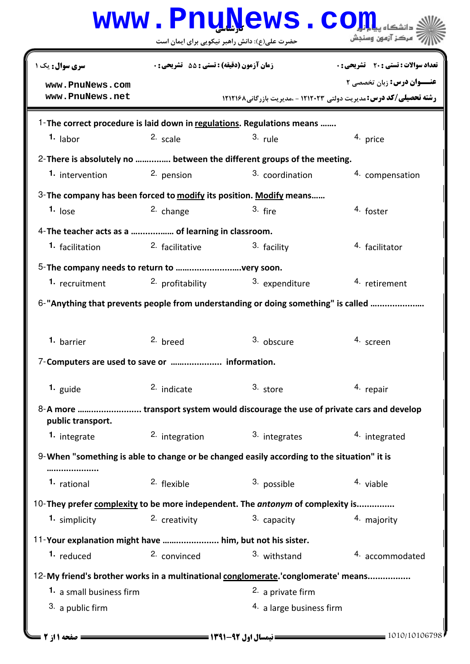|                                                                                   |                                             | www.PnuNews.co                                                                             |                                                                            |  |  |
|-----------------------------------------------------------------------------------|---------------------------------------------|--------------------------------------------------------------------------------------------|----------------------------------------------------------------------------|--|--|
|                                                                                   |                                             | حضرت علی(ع): دانش راهبر نیکویی برای ایمان است                                              | ً مرڪز آزمون وسنڊش                                                         |  |  |
| <b>سری سوال :</b> یک ۱                                                            | زمان آزمون (دقيقه) : تستى : 55 ٪ تشريحي : 0 |                                                                                            | <b>تعداد سوالات : تستی : 20 ٪ تشریحی : 0</b>                               |  |  |
| www.PnuNews.com                                                                   |                                             |                                                                                            | <b>عنــوان درس:</b> زبان تخصصی ۲                                           |  |  |
| www.PnuNews.net                                                                   |                                             |                                                                                            | <b>رشته تحصیلی/کد درس: مدیریت دولتی 121203 - مدیریت بازرگانی۸ 12121۶ ا</b> |  |  |
| 1-The correct procedure is laid down in regulations. Regulations means            |                                             |                                                                                            |                                                                            |  |  |
| <sup>1.</sup> labor                                                               | 2. scale                                    | $3.$ rule                                                                                  | 4. price                                                                   |  |  |
| 2- There is absolutely no  between the different groups of the meeting.           |                                             |                                                                                            |                                                                            |  |  |
| 1. intervention                                                                   | 2. pension                                  | 3. coordination                                                                            | 4. compensation                                                            |  |  |
|                                                                                   |                                             | 3- The company has been forced to modify its position. Modify means                        |                                                                            |  |  |
| $1.$ lose                                                                         | 2. change                                   | $3.$ fire                                                                                  | 4. foster                                                                  |  |  |
| 4- The teacher acts as a  of learning in classroom.                               |                                             |                                                                                            |                                                                            |  |  |
| 1. facilitation                                                                   | 2. facilitative                             | 3. facility                                                                                | 4. facilitator                                                             |  |  |
|                                                                                   |                                             |                                                                                            |                                                                            |  |  |
| 1. recruitment                                                                    | 2. profitability                            | 3. expenditure                                                                             | 4. retirement                                                              |  |  |
| 6-"Anything that prevents people from understanding or doing something" is called |                                             |                                                                                            |                                                                            |  |  |
| 1. barrier                                                                        | 2. breed                                    | 3. obscure                                                                                 | 4. screen                                                                  |  |  |
| 7-Computers are used to save or  information.                                     |                                             |                                                                                            |                                                                            |  |  |
| 1. guide                                                                          | 2. indicate                                 | 3. store                                                                                   | 4. repair                                                                  |  |  |
| public transport.                                                                 |                                             |                                                                                            |                                                                            |  |  |
| 1. integrate                                                                      | 2. integration                              | 3. integrates                                                                              | 4. integrated                                                              |  |  |
|                                                                                   |                                             | 9-When "something is able to change or be changed easily according to the situation" it is |                                                                            |  |  |
| 1. rational                                                                       | 2. flexible                                 | 3. possible                                                                                | 4. viable                                                                  |  |  |
|                                                                                   |                                             | 10-They prefer complexity to be more independent. The antonym of complexity is             |                                                                            |  |  |
| 1. simplicity                                                                     | 2. creativity                               | 3. capacity                                                                                | 4. majority                                                                |  |  |
| 11-Your explanation might have  him, but not his sister.                          |                                             |                                                                                            |                                                                            |  |  |
| 1. reduced                                                                        | 2. convinced                                | 3. withstand                                                                               | 4. accommodated                                                            |  |  |
|                                                                                   |                                             | 12-My friend's brother works in a multinational conglomerate.'conglomerate' means          |                                                                            |  |  |
| 1. a small business firm                                                          |                                             | 2. a private firm                                                                          |                                                                            |  |  |
| 3. a public firm                                                                  |                                             | 4. a large business firm                                                                   |                                                                            |  |  |